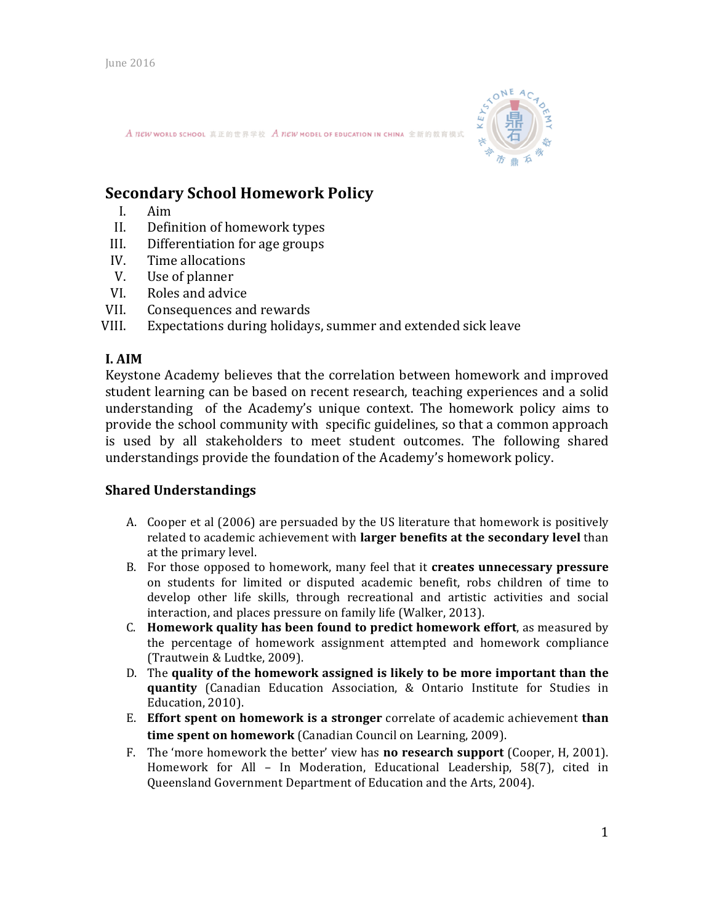

A new world school 真正的世界学校 A new model of Education IN CHINA 全新的教育模式

# **Secondary School Homework Policy**

- I. Aim
- II. Definition of homework types
- III. Differentiation for age groups
- IV. Time allocations
- V. Use of planner
- VI. Roles and advice
- VII. Consequences and rewards

VIII. Expectations during holidays, summer and extended sick leave

# **I. AIM**

Keystone Academy believes that the correlation between homework and improved student learning can be based on recent research, teaching experiences and a solid understanding of the Academy's unique context. The homework policy aims to provide the school community with specific guidelines, so that a common approach is used by all stakeholders to meet student outcomes. The following shared understandings provide the foundation of the Academy's homework policy.

# **Shared Understandings**

- A. Cooper et al (2006) are persuaded by the US literature that homework is positively related to academic achievement with **larger benefits at the secondary level** than at the primary level.
- B. For those opposed to homework, many feel that it **creates unnecessary pressure** on students for limited or disputed academic benefit, robs children of time to develop other life skills, through recreational and artistic activities and social interaction, and places pressure on family life (Walker, 2013).
- C. **Homework quality has been found to predict homework effort**, as measured by the percentage of homework assignment attempted and homework compliance (Trautwein & Ludtke, 2009).
- D. The quality of the homework assigned is likely to be more important than the **quantity** (Canadian Education Association, & Ontario Institute for Studies in Education, 2010).
- E. Effort spent on homework is a stronger correlate of academic achievement than **time spent on homework** (Canadian Council on Learning, 2009).
- F. The 'more homework the better' view has **no research support** (Cooper, H, 2001). Homework for All – In Moderation, Educational Leadership,  $58(7)$ , cited in Queensland Government Department of Education and the Arts, 2004).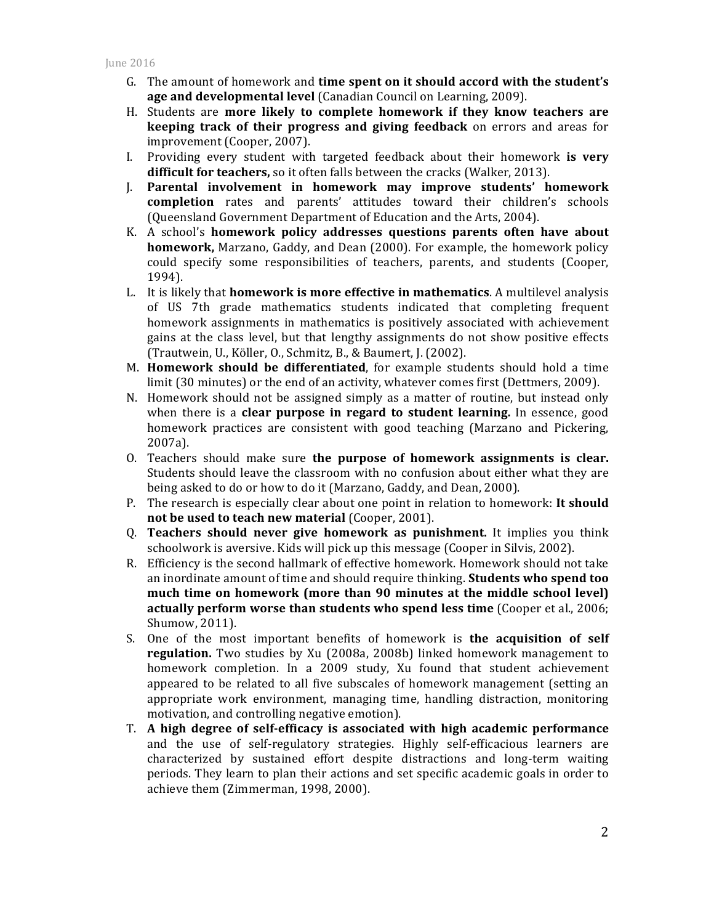- G. The amount of homework and **time spent on it should accord with the student's** age and developmental level (Canadian Council on Learning, 2009).
- H. Students are **more likely to complete homework if they know teachers are keeping track of their progress and giving feedback** on errors and areas for improvement (Cooper, 2007).
- I. Providing every student with targeted feedback about their homework is very **difficult for teachers,** so it often falls between the cracks (Walker, 2013).
- J. Parental involvement in homework may improve students' homework **completion** rates and parents' attitudes toward their children's schools (Queensland Government Department of Education and the Arts, 2004).
- K. A school's **homework policy addresses questions parents often have about homework,** Marzano, Gaddy, and Dean (2000). For example, the homework policy could specify some responsibilities of teachers, parents, and students (Cooper, 1994).
- L. It is likely that **homework is more effective in mathematics**. A multilevel analysis of US 7th grade mathematics students indicated that completing frequent homework assignments in mathematics is positively associated with achievement gains at the class level, but that lengthy assignments do not show positive effects (Trautwein, U., Köller, O., Schmitz, B., & Baumert, J. (2002).
- M. **Homework should be differentiated**, for example students should hold a time limit (30 minutes) or the end of an activity, whatever comes first (Dettmers, 2009).
- N. Homework should not be assigned simply as a matter of routine, but instead only when there is a **clear purpose in regard to student learning.** In essence, good homework practices are consistent with good teaching (Marzano and Pickering, 2007a).
- O. Teachers should make sure **the purpose of homework assignments is clear.** Students should leave the classroom with no confusion about either what they are being asked to do or how to do it (Marzano, Gaddy, and Dean, 2000).
- P. The research is especially clear about one point in relation to homework: **It should not be used to teach new material (Cooper, 2001).**
- Q. **Teachers should never give homework as punishment.** It implies you think schoolwork is aversive. Kids will pick up this message (Cooper in Silvis, 2002).
- R. Efficiency is the second hallmark of effective homework. Homework should not take an inordinate amount of time and should require thinking. **Students who spend too** much time on homework (more than 90 minutes at the middle school level) **actually perform worse than students who spend less time** (Cooper et al., 2006; Shumow, 2011).
- S. One of the most important benefits of homework is **the acquisition of self regulation.** Two studies by Xu (2008a, 2008b) linked homework management to homework completion. In a 2009 study, Xu found that student achievement appeared to be related to all five subscales of homework management (setting an appropriate work environment, managing time, handling distraction, monitoring motivation, and controlling negative emotion).
- T. **A high degree of self-efficacy is associated with high academic performance** and the use of self-regulatory strategies. Highly self-efficacious learners are characterized by sustained effort despite distractions and long-term waiting periods. They learn to plan their actions and set specific academic goals in order to achieve them (Zimmerman, 1998, 2000).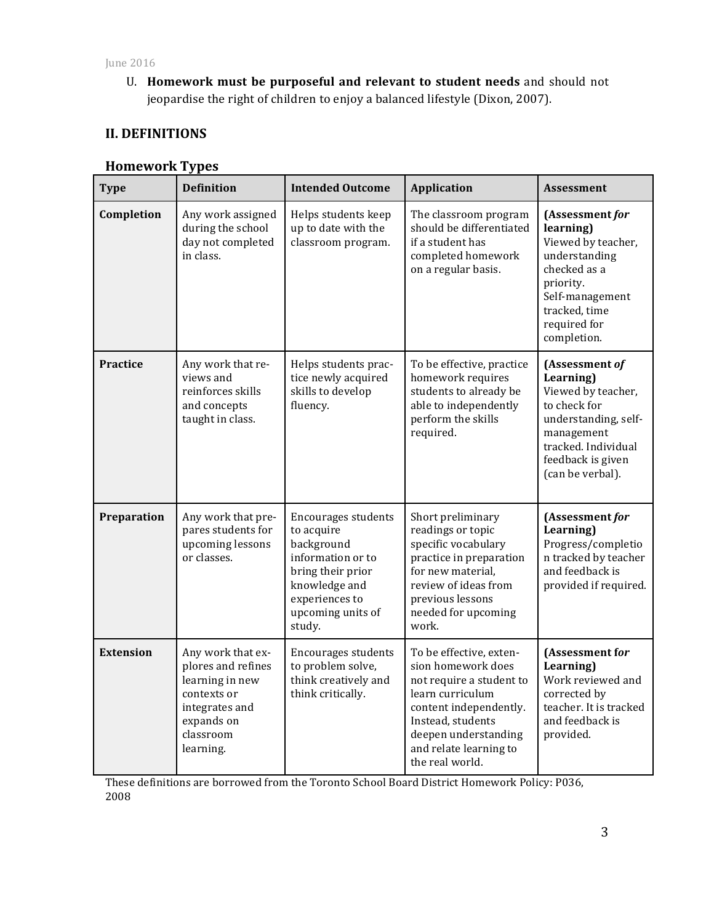U. **Homework must be purposeful and relevant to student needs** and should not jeopardise the right of children to enjoy a balanced lifestyle (Dixon, 2007).

# **II. DEFINITIONS**

# **Homework Types**

| <b>Type</b>      | <b>Definition</b>                                                                                                                   | <b>Intended Outcome</b>                                                                                                                                            | <b>Application</b>                                                                                                                                                                                                | <b>Assessment</b>                                                                                                                                                       |
|------------------|-------------------------------------------------------------------------------------------------------------------------------------|--------------------------------------------------------------------------------------------------------------------------------------------------------------------|-------------------------------------------------------------------------------------------------------------------------------------------------------------------------------------------------------------------|-------------------------------------------------------------------------------------------------------------------------------------------------------------------------|
| Completion       | Any work assigned<br>during the school<br>day not completed<br>in class.                                                            | Helps students keep<br>up to date with the<br>classroom program.                                                                                                   | The classroom program<br>should be differentiated<br>if a student has<br>completed homework<br>on a regular basis.                                                                                                | (Assessment for<br>learning)<br>Viewed by teacher,<br>understanding<br>checked as a<br>priority.<br>Self-management<br>tracked, time<br>required for<br>completion.     |
| <b>Practice</b>  | Any work that re-<br>views and<br>reinforces skills<br>and concepts<br>taught in class.                                             | Helps students prac-<br>tice newly acquired<br>skills to develop<br>fluency.                                                                                       | To be effective, practice<br>homework requires<br>students to already be<br>able to independently<br>perform the skills<br>required.                                                                              | (Assessment of<br>Learning)<br>Viewed by teacher,<br>to check for<br>understanding, self-<br>management<br>tracked. Individual<br>feedback is given<br>(can be verbal). |
| Preparation      | Any work that pre-<br>pares students for<br>upcoming lessons<br>or classes.                                                         | <b>Encourages students</b><br>to acquire<br>background<br>information or to<br>bring their prior<br>knowledge and<br>experiences to<br>upcoming units of<br>study. | Short preliminary<br>readings or topic<br>specific vocabulary<br>practice in preparation<br>for new material,<br>review of ideas from<br>previous lessons<br>needed for upcoming<br>work.                         | (Assessment for<br>Learning)<br>Progress/completio<br>n tracked by teacher<br>and feedback is<br>provided if required.                                                  |
| <b>Extension</b> | Any work that ex-<br>plores and refines<br>learning in new<br>contexts or<br>integrates and<br>expands on<br>classroom<br>learning. | Encourages students<br>to problem solve,<br>think creatively and<br>think critically.                                                                              | To be effective, exten-<br>sion homework does<br>not require a student to<br>learn curriculum<br>content independently.<br>Instead, students<br>deepen understanding<br>and relate learning to<br>the real world. | (Assessment for<br>Learning)<br>Work reviewed and<br>corrected by<br>teacher. It is tracked<br>and feedback is<br>provided.                                             |

These definitions are borrowed from the Toronto School Board District Homework Policy: P036, 2008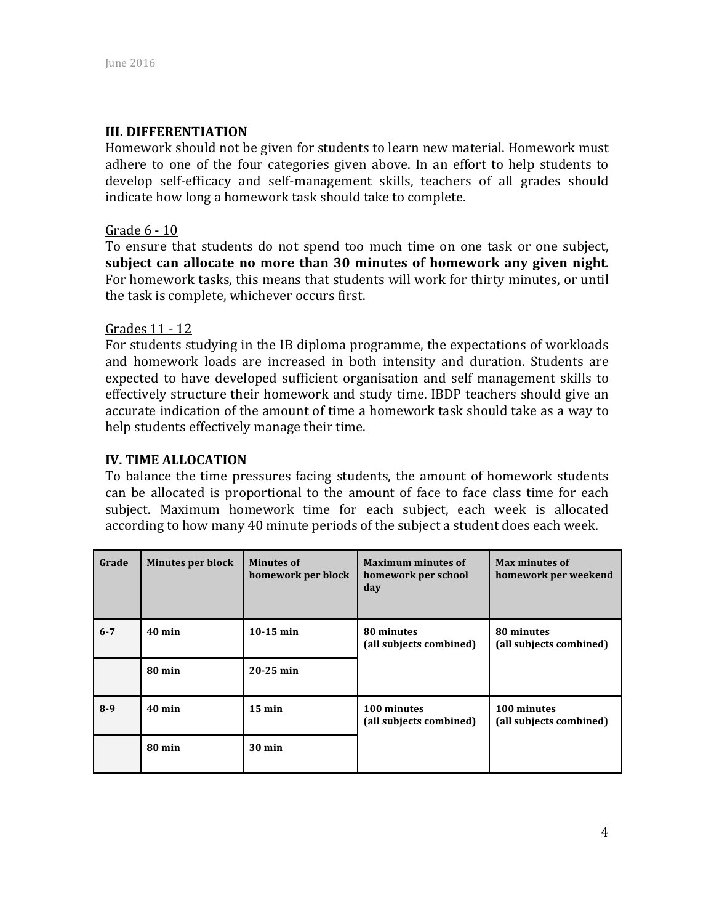### **III. DIFFERENTIATION**

Homework should not be given for students to learn new material. Homework must adhere to one of the four categories given above. In an effort to help students to develop self-efficacy and self-management skills, teachers of all grades should indicate how long a homework task should take to complete.

#### Grade 6 - 10

To ensure that students do not spend too much time on one task or one subject, subject can allocate no more than 30 minutes of homework any given night. For homework tasks, this means that students will work for thirty minutes, or until the task is complete, whichever occurs first.

#### Grades 11 - 12

For students studying in the IB diploma programme, the expectations of workloads and homework loads are increased in both intensity and duration. Students are expected to have developed sufficient organisation and self management skills to effectively structure their homework and study time. IBDP teachers should give an accurate indication of the amount of time a homework task should take as a way to help students effectively manage their time.

#### **IV. TIME ALLOCATION**

To balance the time pressures facing students, the amount of homework students can be allocated is proportional to the amount of face to face class time for each subject. Maximum homework time for each subject, each week is allocated according to how many 40 minute periods of the subject a student does each week.

| Grade   | <b>Minutes per block</b> | <b>Minutes of</b><br>homework per block | <b>Maximum minutes of</b><br>homework per school<br>day | Max minutes of<br>homework per weekend |
|---------|--------------------------|-----------------------------------------|---------------------------------------------------------|----------------------------------------|
| $6 - 7$ | $40$ min                 | $10-15$ min                             | 80 minutes<br>(all subjects combined)                   | 80 minutes<br>(all subjects combined)  |
|         | $80 \text{ min}$         | $20-25$ min                             |                                                         |                                        |
| $8-9$   | $40$ min                 | $15 \text{ min}$                        | 100 minutes<br>(all subjects combined)                  | 100 minutes<br>(all subjects combined) |
|         | 80 min                   | $30 \text{ min}$                        |                                                         |                                        |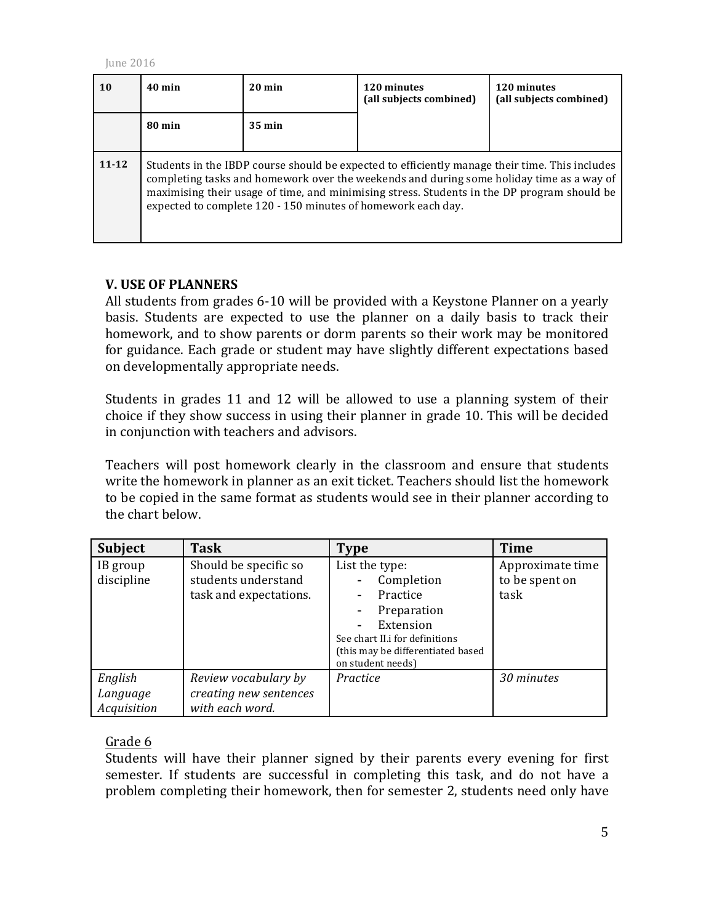| 10        | $40$ min                                                                                                                                                                                                                                                                                                                                                  | $20 \text{ min}$ | 120 minutes<br>(all subjects combined) | 120 minutes<br>(all subjects combined) |
|-----------|-----------------------------------------------------------------------------------------------------------------------------------------------------------------------------------------------------------------------------------------------------------------------------------------------------------------------------------------------------------|------------------|----------------------------------------|----------------------------------------|
|           | 80 min                                                                                                                                                                                                                                                                                                                                                    | $35 \text{ min}$ |                                        |                                        |
| $11 - 12$ | Students in the IBDP course should be expected to efficiently manage their time. This includes<br>completing tasks and homework over the weekends and during some holiday time as a way of<br>maximising their usage of time, and minimising stress. Students in the DP program should be<br>expected to complete 120 - 150 minutes of homework each day. |                  |                                        |                                        |

### **V. USE OF PLANNERS**

All students from grades 6-10 will be provided with a Keystone Planner on a yearly basis. Students are expected to use the planner on a daily basis to track their homework, and to show parents or dorm parents so their work may be monitored for guidance. Each grade or student may have slightly different expectations based on developmentally appropriate needs.

Students in grades 11 and 12 will be allowed to use a planning system of their choice if they show success in using their planner in grade 10. This will be decided in conjunction with teachers and advisors.

Teachers will post homework clearly in the classroom and ensure that students write the homework in planner as an exit ticket. Teachers should list the homework to be copied in the same format as students would see in their planner according to the chart below.

| <b>Subject</b>                     | <b>Task</b>                                                            | Type                                                                                                                                                             | <b>Time</b>                                |
|------------------------------------|------------------------------------------------------------------------|------------------------------------------------------------------------------------------------------------------------------------------------------------------|--------------------------------------------|
| IB group<br>discipline             | Should be specific so<br>students understand<br>task and expectations. | List the type:<br>Completion<br>Practice<br>Preparation<br>Extension<br>See chart II.i for definitions<br>(this may be differentiated based<br>on student needs) | Approximate time<br>to be spent on<br>task |
| English<br>Language<br>Acquisition | Review vocabulary by<br>creating new sentences<br>with each word.      | Practice                                                                                                                                                         | 30 minutes                                 |

# Grade 6

Students will have their planner signed by their parents every evening for first semester. If students are successful in completing this task, and do not have a problem completing their homework, then for semester 2, students need only have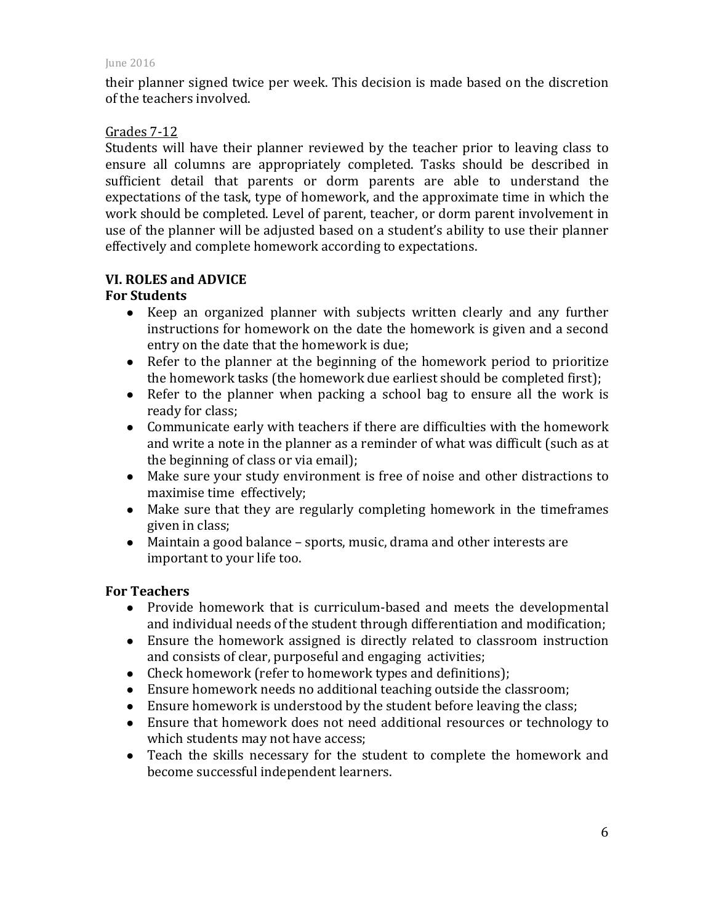their planner signed twice per week. This decision is made based on the discretion of the teachers involved.

### Grades 7-12

Students will have their planner reviewed by the teacher prior to leaving class to ensure all columns are appropriately completed. Tasks should be described in sufficient detail that parents or dorm parents are able to understand the expectations of the task, type of homework, and the approximate time in which the work should be completed. Level of parent, teacher, or dorm parent involvement in use of the planner will be adjusted based on a student's ability to use their planner effectively and complete homework according to expectations.

# **VI. ROLES and ADVICE**

# **For Students**

- Keep an organized planner with subjects written clearly and any further instructions for homework on the date the homework is given and a second entry on the date that the homework is due;
- $\bullet$  Refer to the planner at the beginning of the homework period to prioritize the homework tasks (the homework due earliest should be completed first);
- Refer to the planner when packing a school bag to ensure all the work is ready for class;
- Communicate early with teachers if there are difficulties with the homework and write a note in the planner as a reminder of what was difficult (such as at the beginning of class or via email);
- Make sure your study environment is free of noise and other distractions to maximise time effectively;
- Make sure that they are regularly completing homework in the timeframes given in class;
- Maintain a good balance  $-$  sports, music, drama and other interests are important to your life too.

#### **For Teachers**

- Provide homework that is curriculum-based and meets the developmental and individual needs of the student through differentiation and modification;
- Ensure the homework assigned is directly related to classroom instruction and consists of clear, purposeful and engaging activities;
- Check homework (refer to homework types and definitions);
- $\bullet$  Ensure homework needs no additional teaching outside the classroom;
- Ensure homework is understood by the student before leaving the class;
- Ensure that homework does not need additional resources or technology to which students may not have access;
- Teach the skills necessary for the student to complete the homework and become successful independent learners.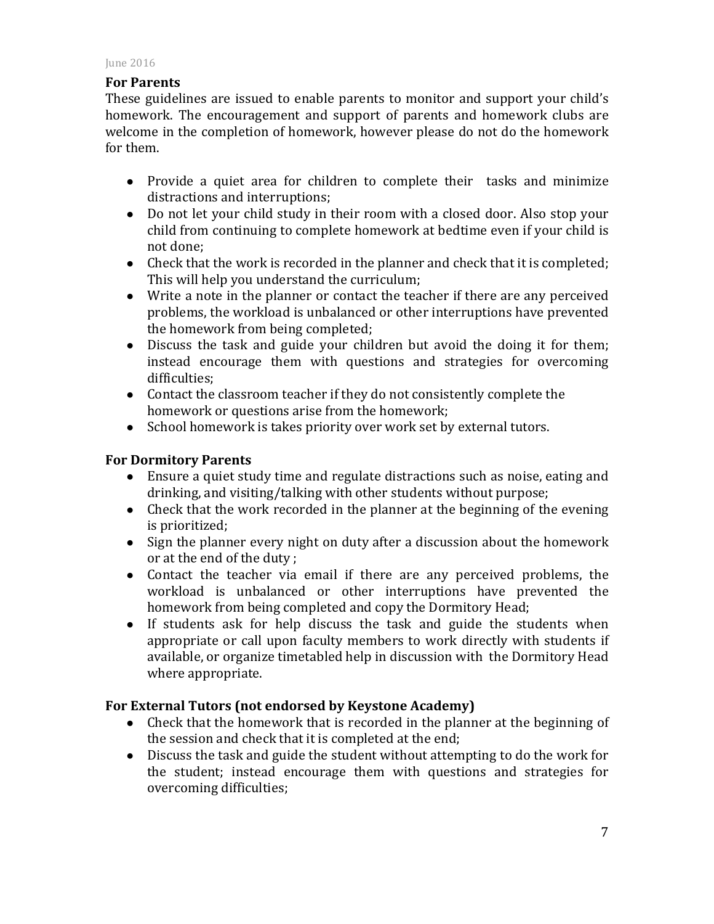# **For Parents**

These guidelines are issued to enable parents to monitor and support your child's homework. The encouragement and support of parents and homework clubs are welcome in the completion of homework, however please do not do the homework for them.

- Provide a quiet area for children to complete their tasks and minimize distractions and interruptions:
- Do not let your child study in their room with a closed door. Also stop your child from continuing to complete homework at bedtime even if your child is not done:
- Check that the work is recorded in the planner and check that it is completed; This will help you understand the curriculum;
- Write a note in the planner or contact the teacher if there are any perceived problems, the workload is unbalanced or other interruptions have prevented the homework from being completed:
- Discuss the task and guide your children but avoid the doing it for them; instead encourage them with questions and strategies for overcoming difficulties;
- Contact the classroom teacher if they do not consistently complete the homework or questions arise from the homework;
- School homework is takes priority over work set by external tutors.

# **For Dormitory Parents**

- Ensure a quiet study time and regulate distractions such as noise, eating and drinking, and visiting/talking with other students without purpose;
- Check that the work recorded in the planner at the beginning of the evening is prioritized;
- Sign the planner every night on duty after a discussion about the homework or at the end of the duty;
- Contact the teacher via email if there are any perceived problems, the workload is unbalanced or other interruptions have prevented the homework from being completed and copy the Dormitory Head;
- If students ask for help discuss the task and guide the students when appropriate or call upon faculty members to work directly with students if available, or organize timetabled help in discussion with the Dormitory Head where appropriate.

# For External Tutors (not endorsed by Keystone Academy)

- Check that the homework that is recorded in the planner at the beginning of the session and check that it is completed at the end;
- Discuss the task and guide the student without attempting to do the work for the student; instead encourage them with questions and strategies for overcoming difficulties;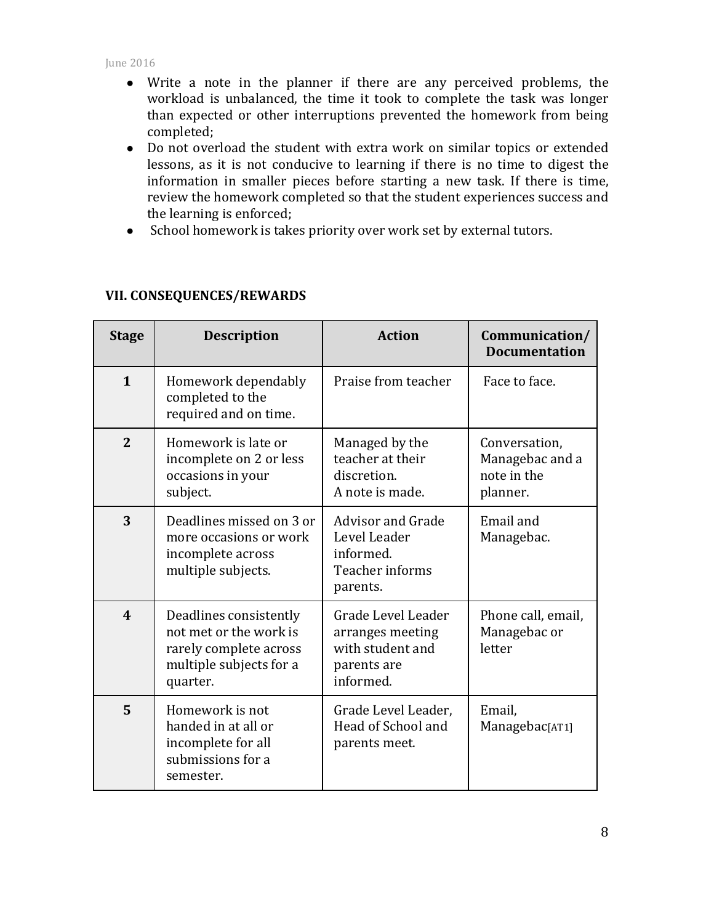- Write a note in the planner if there are any perceived problems, the workload is unbalanced, the time it took to complete the task was longer than expected or other interruptions prevented the homework from being completed;
- Do not overload the student with extra work on similar topics or extended lessons, as it is not conducive to learning if there is no time to digest the information in smaller pieces before starting a new task. If there is time, review the homework completed so that the student experiences success and the learning is enforced;
- School homework is takes priority over work set by external tutors.

| <b>Stage</b>               | <b>Description</b>                                                                                                | <b>Action</b>                                                                          | Communication/<br><b>Documentation</b>                      |
|----------------------------|-------------------------------------------------------------------------------------------------------------------|----------------------------------------------------------------------------------------|-------------------------------------------------------------|
| $\mathbf{1}$               | Homework dependably<br>completed to the<br>required and on time.                                                  | Praise from teacher                                                                    | Face to face.                                               |
| $\overline{2}$             | Homework is late or<br>incomplete on 2 or less<br>occasions in your<br>subject.                                   | Managed by the<br>teacher at their<br>discretion.<br>A note is made.                   | Conversation,<br>Managebac and a<br>note in the<br>planner. |
| 3                          | Deadlines missed on 3 or<br>more occasions or work<br>incomplete across<br>multiple subjects.                     | <b>Advisor and Grade</b><br>Level Leader<br>informed.<br>Teacher informs<br>parents.   | Email and<br>Managebac.                                     |
| $\boldsymbol{\mathcal{A}}$ | Deadlines consistently<br>not met or the work is<br>rarely complete across<br>multiple subjects for a<br>quarter. | Grade Level Leader<br>arranges meeting<br>with student and<br>parents are<br>informed. | Phone call, email,<br>Managebac or<br>letter                |
| 5                          | Homework is not<br>handed in at all or<br>incomplete for all<br>submissions for a<br>semester.                    | Grade Level Leader,<br>Head of School and<br>parents meet.                             | Email,<br>Managebac[AT1]                                    |

### **VII. CONSEQUENCES/REWARDS**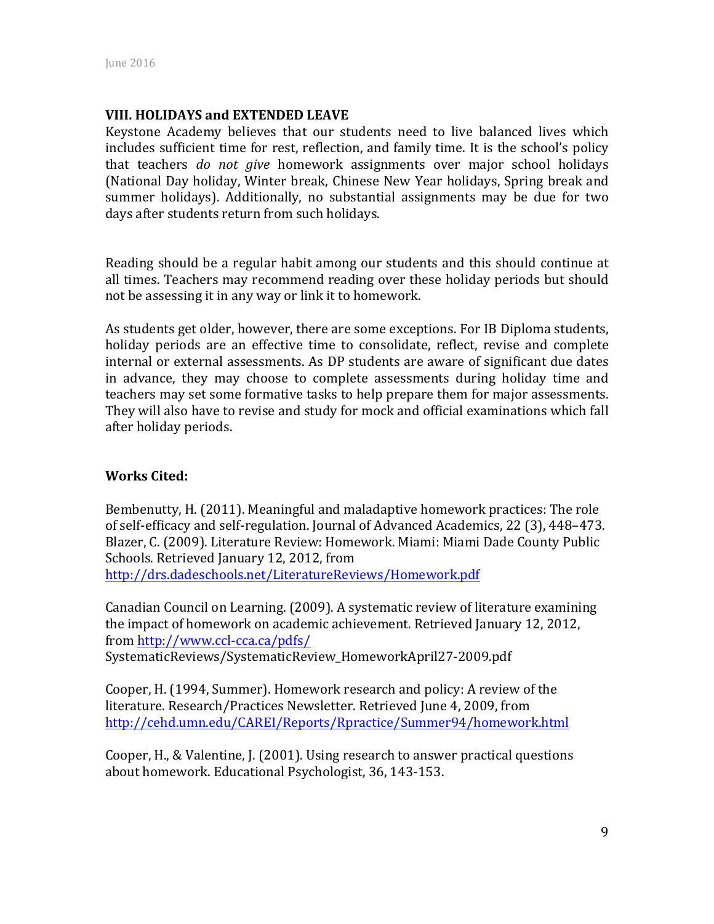#### **VIII. HOLIDAYS and EXTENDED LEAVE**

Keystone Academy believes that our students need to live balanced lives which includes sufficient time for rest, reflection, and family time. It is the school's policy that teachers *do not give* homework assignments over major school holidays (National Day holiday, Winter break, Chinese New Year holidays, Spring break and summer holidays). Additionally, no substantial assignments may be due for two days after students return from such holidays.

Reading should be a regular habit among our students and this should continue at all times. Teachers may recommend reading over these holiday periods but should not be assessing it in any way or link it to homework.

As students get older, however, there are some exceptions. For IB Diploma students, holiday periods are an effective time to consolidate, reflect, revise and complete internal or external assessments. As DP students are aware of significant due dates in advance, they may choose to complete assessments during holiday time and teachers may set some formative tasks to help prepare them for major assessments. They will also have to revise and study for mock and official examinations which fall after holiday periods.

#### **Works Cited:**

Bembenutty, H. (2011). Meaningful and maladaptive homework practices: The role of self-efficacy and self-regulation. Journal of Advanced Academics, 22 (3), 448–473. Blazer, C. (2009). Literature Review: Homework. Miami: Miami Dade County Public Schools. Retrieved January 12, 2012, from http://drs.dadeschools.net/LiteratureReviews/Homework.pdf

Canadian Council on Learning. (2009). A systematic review of literature examining the impact of homework on academic achievement. Retrieved January 12, 2012, from http://www.ccl-cca.ca/pdfs/ SystematicReviews/SystematicReview\_HomeworkApril27-2009.pdf

Cooper, H. (1994, Summer). Homework research and policy: A review of the literature. Research/Practices Newsletter. Retrieved June 4, 2009, from http://cehd.umn.edu/CAREI/Reports/Rpractice/Summer94/homework.html

Cooper, H., & Valentine, J. (2001). Using research to answer practical questions about homework. Educational Psychologist, 36, 143-153.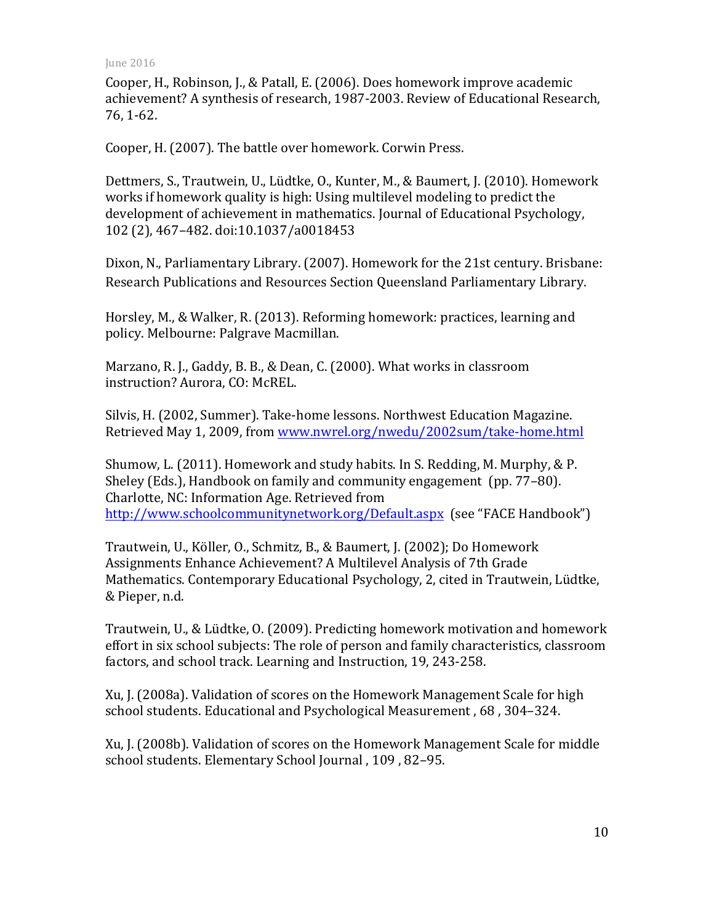Cooper, H., Robinson, J., & Patall, E. (2006). Does homework improve academic achievement? A synthesis of research, 1987-2003. Review of Educational Research, 76, 1-62.

Cooper, H. (2007). The battle over homework. Corwin Press.

Dettmers, S., Trautwein, U., Lüdtke, O., Kunter, M., & Baumert, J. (2010). Homework works if homework quality is high: Using multilevel modeling to predict the development of achievement in mathematics. Journal of Educational Psychology, 102 (2), 467–482. doi:10.1037/a0018453

Dixon, N., Parliamentary Library. (2007). Homework for the 21st century. Brisbane: Research Publications and Resources Section Queensland Parliamentary Library.

Horsley, M., & Walker, R. (2013). Reforming homework: practices, learning and policy. Melbourne: Palgrave Macmillan.

Marzano, R. J., Gaddy, B. B., & Dean, C. (2000). What works in classroom instruction? Aurora, CO: McREL.

Silvis, H. (2002, Summer). Take-home lessons. Northwest Education Magazine. Retrieved May 1, 2009, from www.nwrel.org/nwedu/2002sum/take-home.html

Shumow, L. (2011). Homework and study habits. In S. Redding, M. Murphy, & P. Sheley (Eds.), Handbook on family and community engagement (pp. 77–80). Charlotte, NC: Information Age. Retrieved from http://www.schoolcommunitynetwork.org/Default.aspx (see "FACE Handbook")

Trautwein, U., Köller, O., Schmitz, B., & Baumert, J. (2002); Do Homework Assignments Enhance Achievement? A Multilevel Analysis of 7th Grade Mathematics. Contemporary Educational Psychology, 2, cited in Trautwein, Lüdtke, & Pieper, n.d.

Trautwein, U., & Lüdtke, O. (2009). Predicting homework motivation and homework effort in six school subjects: The role of person and family characteristics, classroom factors, and school track. Learning and Instruction, 19, 243-258.

Xu, J. (2008a). Validation of scores on the Homework Management Scale for high school students. Educational and Psychological Measurement, 68, 304–324.

Xu, J. (2008b). Validation of scores on the Homework Management Scale for middle school students. Elementary School Journal, 109, 82-95.